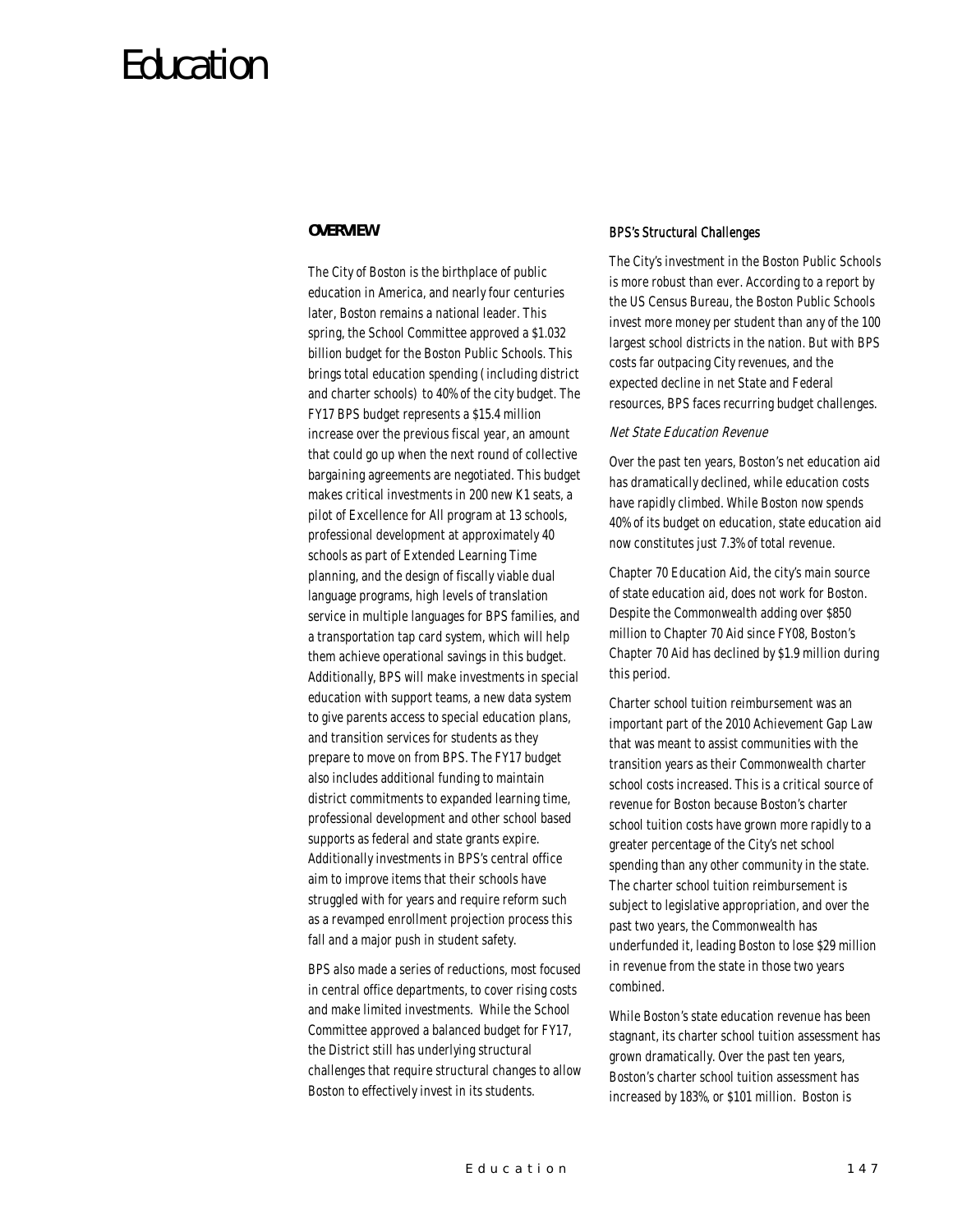# Education

## *OVERVIEW*

The City of Boston is the birthplace of public education in America, and nearly four centuries later, Boston remains a national leader. This spring, the School Committee approved a \$1.032 billion budget for the Boston Public Schools. This brings total education spending (including district and charter schools) to 40% of the city budget. The FY17 BPS budget represents a \$15.4 million increase over the previous fiscal year, an amount that could go up when the next round of collective bargaining agreements are negotiated. This budget makes critical investments in 200 new K1 seats, a pilot of Excellence for All program at 13 schools, professional development at approximately 40 schools as part of Extended Learning Time planning, and the design of fiscally viable dual language programs, high levels of translation service in multiple languages for BPS families, and a transportation tap card system, which will help them achieve operational savings in this budget. Additionally, BPS will make investments in special education with support teams, a new data system to give parents access to special education plans, and transition services for students as they prepare to move on from BPS. The FY17 budget also includes additional funding to maintain district commitments to expanded learning time, professional development and other school based supports as federal and state grants expire. Additionally investments in BPS's central office aim to improve items that their schools have struggled with for years and require reform such as a revamped enrollment projection process this fall and a major push in student safety.

BPS also made a series of reductions, most focused in central office departments, to cover rising costs and make limited investments. While the School Committee approved a balanced budget for FY17, the District still has underlying structural challenges that require structural changes to allow Boston to effectively invest in its students.

### BPS's Structural Challenges

The City's investment in the Boston Public Schools is more robust than ever. According to a report by the US Census Bureau, the Boston Public Schools invest more money per student than any of the 100 largest school districts in the nation. But with BPS costs far outpacing City revenues, and the expected decline in net State and Federal resources, BPS faces recurring budget challenges.

## Net State Education Revenue

Over the past ten years, Boston's net education aid has dramatically declined, while education costs have rapidly climbed. While Boston now spends 40% of its budget on education, state education aid now constitutes just 7.3% of total revenue.

Chapter 70 Education Aid, the city's main source of state education aid, does not work for Boston. Despite the Commonwealth adding over \$850 million to Chapter 70 Aid since FY08, Boston's Chapter 70 Aid has declined by \$1.9 million during this period.

Charter school tuition reimbursement was an important part of the 2010 Achievement Gap Law that was meant to assist communities with the transition years as their Commonwealth charter school costs increased. This is a critical source of revenue for Boston because Boston's charter school tuition costs have grown more rapidly to a greater percentage of the City's net school spending than any other community in the state. The charter school tuition reimbursement is subject to legislative appropriation, and over the past two years, the Commonwealth has underfunded it, leading Boston to lose \$29 million in revenue from the state in those two years combined.

While Boston's state education revenue has been stagnant, its charter school tuition assessment has grown dramatically. Over the past ten years, Boston's charter school tuition assessment has increased by 183%, or \$101 million. Boston is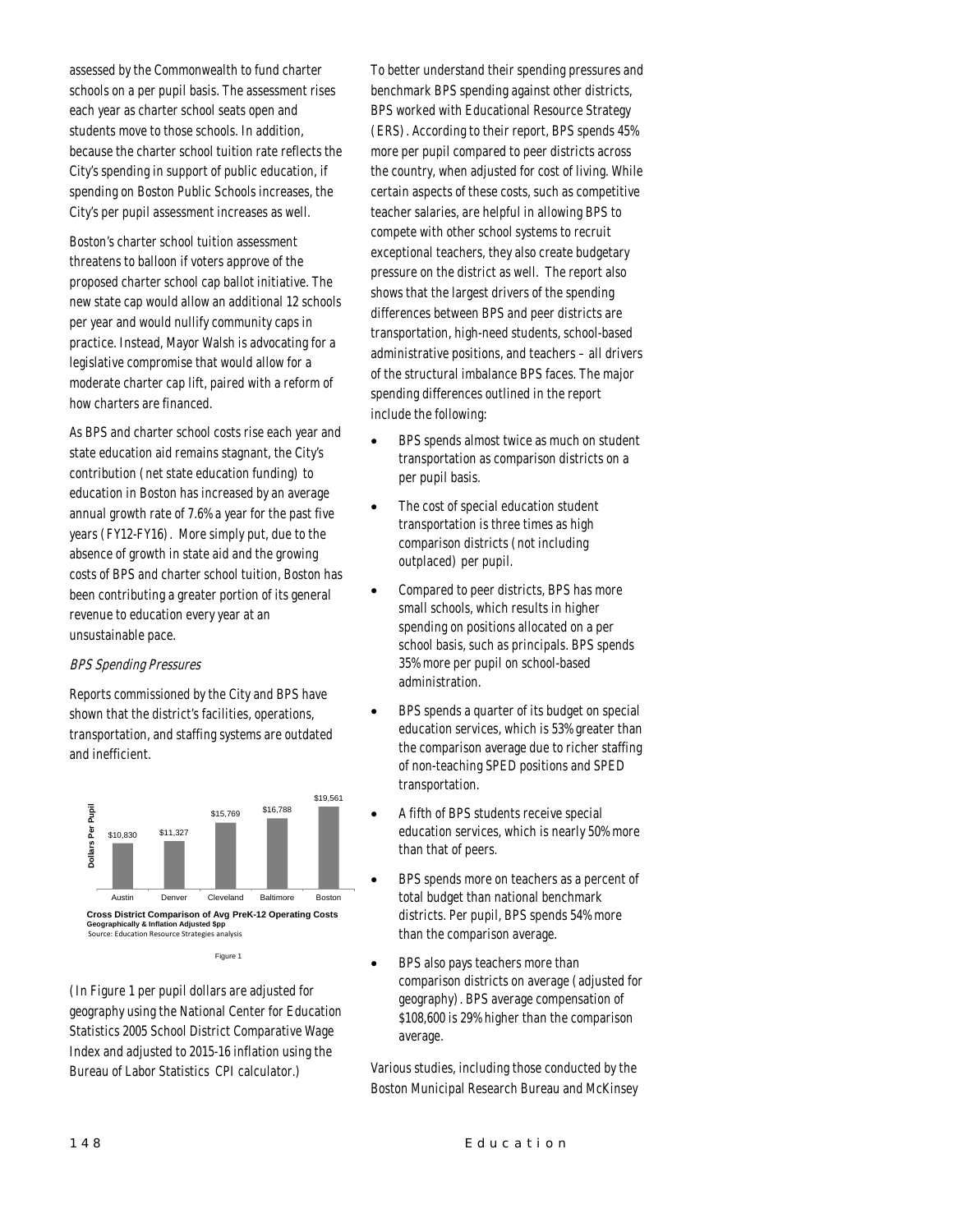assessed by the Commonwealth to fund charter schools on a per pupil basis. The assessment rises each year as charter school seats open and students move to those schools. In addition, because the charter school tuition rate reflects the City's spending in support of public education, if spending on Boston Public Schools increases, the City's per pupil assessment increases as well.

Boston's charter school tuition assessment threatens to balloon if voters approve of the proposed charter school cap ballot initiative. The new state cap would allow an additional 12 schools per year and would nullify community caps in practice. Instead, Mayor Walsh is advocating for a legislative compromise that would allow for a moderate charter cap lift, paired with a reform of how charters are financed.

As BPS and charter school costs rise each year and state education aid remains stagnant, the City's contribution (net state education funding) to education in Boston has increased by an average annual growth rate of 7.6% a year for the past five years (FY12-FY16). More simply put, due to the absence of growth in state aid and the growing costs of BPS and charter school tuition, Boston has been contributing a greater portion of its general revenue to education every year at an unsustainable pace.

#### BPS Spending Pressures

Reports commissioned by the City and BPS have shown that the district's facilities, operations, transportation, and staffing systems are outdated and inefficient.



(In Figure 1 per pupil dollars are adjusted for geography using the National Center for Education Statistics 2005 School District Comparative Wage Index and adjusted to 2015-16 inflation using the Bureau of Labor Statistics CPI calculator.)

To better understand their spending pressures and benchmark BPS spending against other districts, BPS worked with Educational Resource Strategy (ERS). According to their report, BPS spends 45% more per pupil compared to peer districts across the country, when adjusted for cost of living. While certain aspects of these costs, such as competitive teacher salaries, are helpful in allowing BPS to compete with other school systems to recruit exceptional teachers, they also create budgetary pressure on the district as well. The report also shows that the largest drivers of the spending differences between BPS and peer districts are transportation, high-need students, school-based administrative positions, and teachers – all drivers of the structural imbalance BPS faces. The major spending differences outlined in the report include the following:

- BPS spends almost twice as much on student transportation as comparison districts on a per pupil basis.
- The cost of special education student transportation is three times as high comparison districts (not including outplaced) per pupil.
- Compared to peer districts, BPS has more small schools, which results in higher spending on positions allocated on a per school basis, such as principals. BPS spends 35% more per pupil on school-based administration.
- BPS spends a quarter of its budget on special education services, which is 53% greater than the comparison average due to richer staffing of non-teaching SPED positions and SPED transportation.
- A fifth of BPS students receive special education services, which is nearly 50% more than that of peers.
- BPS spends more on teachers as a percent of total budget than national benchmark districts. Per pupil, BPS spends 54% more than the comparison average.
- BPS also pays teachers more than comparison districts on average (adjusted for geography). BPS average compensation of \$108,600 is 29% higher than the comparison average.

Various studies, including those conducted by the Boston Municipal Research Bureau and McKinsey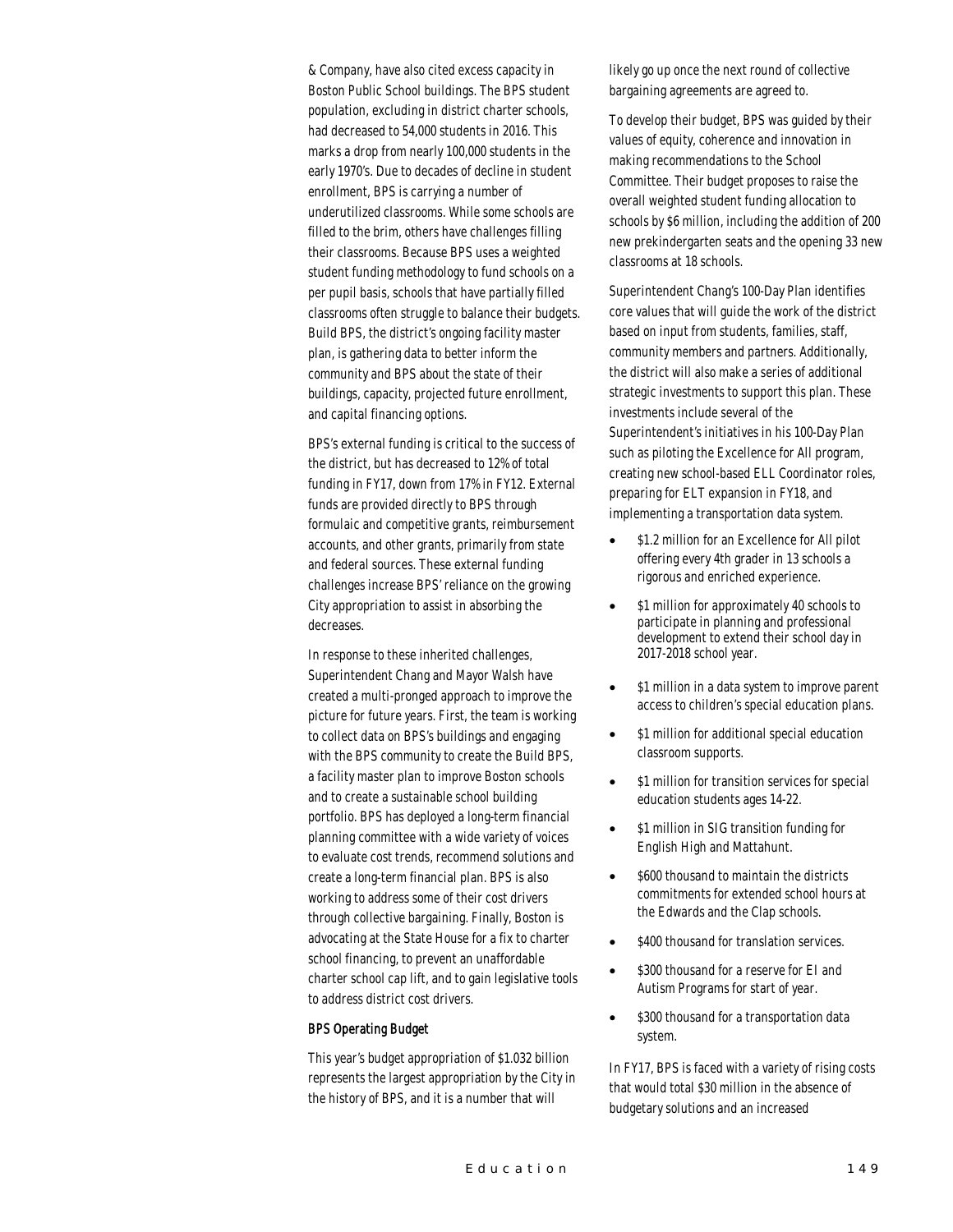& Company, have also cited excess capacity in Boston Public School buildings. The BPS student population, excluding in district charter schools, had decreased to 54,000 students in 2016. This marks a drop from nearly 100,000 students in the early 1970's. Due to decades of decline in student enrollment, BPS is carrying a number of underutilized classrooms. While some schools are filled to the brim, others have challenges filling their classrooms. Because BPS uses a weighted student funding methodology to fund schools on a per pupil basis, schools that have partially filled classrooms often struggle to balance their budgets. Build BPS, the district's ongoing facility master plan, is gathering data to better inform the community and BPS about the state of their buildings, capacity, projected future enrollment, and capital financing options.

BPS's external funding is critical to the success of the district, but has decreased to 12% of total funding in FY17, down from 17% in FY12. External funds are provided directly to BPS through formulaic and competitive grants, reimbursement accounts, and other grants, primarily from state and federal sources. These external funding challenges increase BPS' reliance on the growing City appropriation to assist in absorbing the decreases.

In response to these inherited challenges, Superintendent Chang and Mayor Walsh have created a multi-pronged approach to improve the picture for future years. First, the team is working to collect data on BPS's buildings and engaging with the BPS community to create the Build BPS, a facility master plan to improve Boston schools and to create a sustainable school building portfolio. BPS has deployed a long-term financial planning committee with a wide variety of voices to evaluate cost trends, recommend solutions and create a long-term financial plan. BPS is also working to address some of their cost drivers through collective bargaining. Finally, Boston is advocating at the State House for a fix to charter school financing, to prevent an unaffordable charter school cap lift, and to gain legislative tools to address district cost drivers.

#### BPS Operating Budget

This year's budget appropriation of \$1.032 billion represents the largest appropriation by the City in the history of BPS, and it is a number that will

likely go up once the next round of collective bargaining agreements are agreed to.

To develop their budget, BPS was guided by their values of equity, coherence and innovation in making recommendations to the School Committee. Their budget proposes to raise the overall weighted student funding allocation to schools by \$6 million, including the addition of 200 new prekindergarten seats and the opening 33 new classrooms at 18 schools.

Superintendent Chang's 100-Day Plan identifies core values that will guide the work of the district based on input from students, families, staff, community members and partners. Additionally, the district will also make a series of additional strategic investments to support this plan. These investments include several of the Superintendent's initiatives in his 100-Day Plan such as piloting the Excellence for All program, creating new school-based ELL Coordinator roles, preparing for ELT expansion in FY18, and implementing a transportation data system.

- \$1.2 million for an Excellence for All pilot offering every 4th grader in 13 schools a rigorous and enriched experience.
- \$1 million for approximately 40 schools to participate in planning and professional development to extend their school day in 2017-2018 school year.
- \$1 million in a data system to improve parent access to children's special education plans.
- \$1 million for additional special education classroom supports.
- \$1 million for transition services for special education students ages 14-22.
- \$1 million in SIG transition funding for English High and Mattahunt.
- \$600 thousand to maintain the districts commitments for extended school hours at the Edwards and the Clap schools.
- \$400 thousand for translation services.
- \$300 thousand for a reserve for EI and Autism Programs for start of year.
- \$300 thousand for a transportation data system.

In FY17, BPS is faced with a variety of rising costs that would total \$30 million in the absence of budgetary solutions and an increased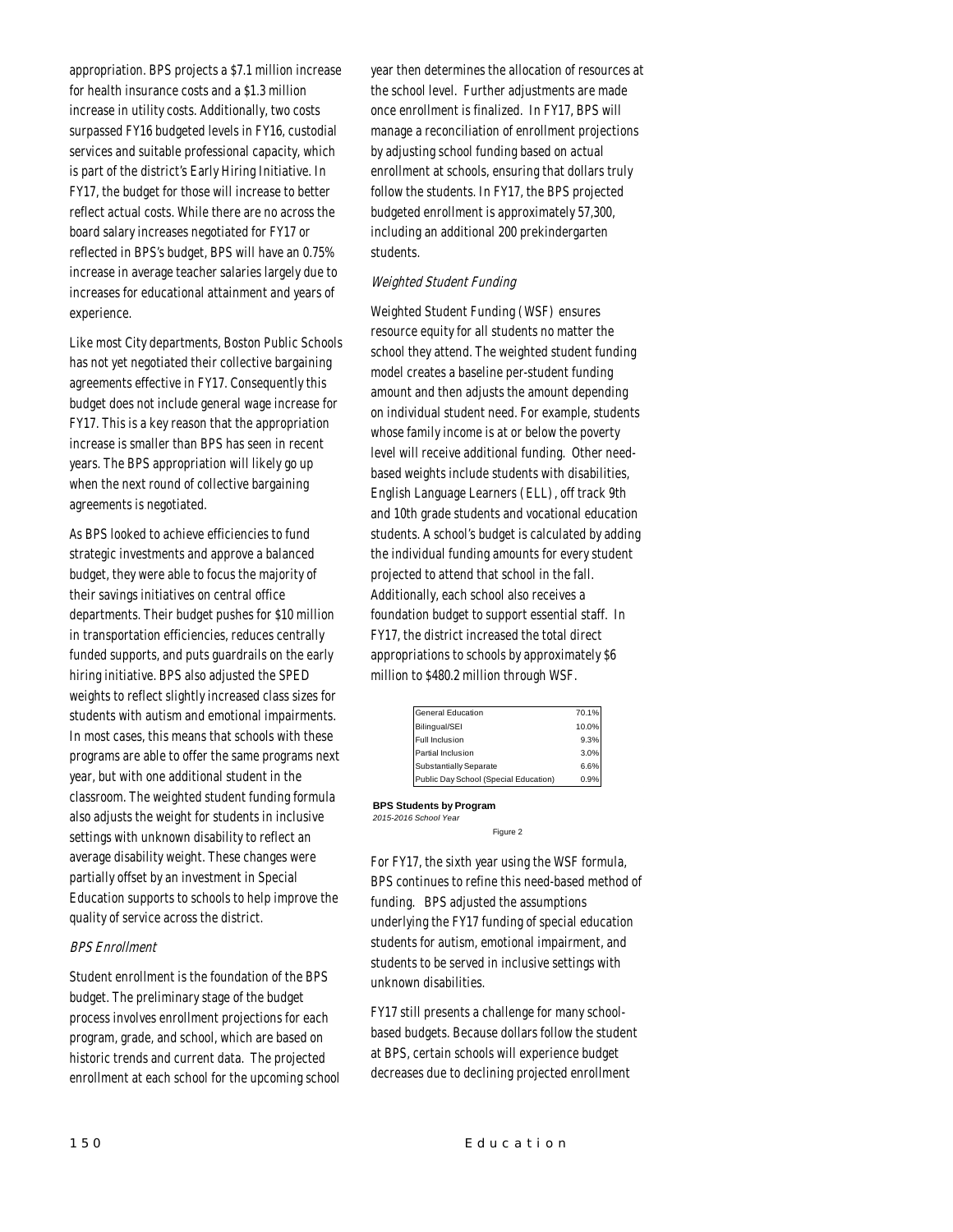appropriation. BPS projects a \$7.1 million increase for health insurance costs and a \$1.3 million increase in utility costs. Additionally, two costs surpassed FY16 budgeted levels in FY16, custodial services and suitable professional capacity, which is part of the district's Early Hiring Initiative. In FY17, the budget for those will increase to better reflect actual costs. While there are no across the board salary increases negotiated for FY17 or reflected in BPS's budget, BPS will have an 0.75% increase in average teacher salaries largely due to increases for educational attainment and years of experience.

Like most City departments, Boston Public Schools has not yet negotiated their collective bargaining agreements effective in FY17. Consequently this budget does not include general wage increase for FY17. This is a key reason that the appropriation increase is smaller than BPS has seen in recent years. The BPS appropriation will likely go up when the next round of collective bargaining agreements is negotiated.

As BPS looked to achieve efficiencies to fund strategic investments and approve a balanced budget, they were able to focus the majority of their savings initiatives on central office departments. Their budget pushes for \$10 million in transportation efficiencies, reduces centrally funded supports, and puts guardrails on the early hiring initiative. BPS also adjusted the SPED weights to reflect slightly increased class sizes for students with autism and emotional impairments. In most cases, this means that schools with these programs are able to offer the same programs next year, but with one additional student in the classroom. The weighted student funding formula also adjusts the weight for students in inclusive settings with unknown disability to reflect an average disability weight. These changes were partially offset by an investment in Special Education supports to schools to help improve the quality of service across the district.

#### BPS Enrollment

Student enrollment is the foundation of the BPS budget. The preliminary stage of the budget process involves enrollment projections for each program, grade, and school, which are based on historic trends and current data. The projected enrollment at each school for the upcoming school year then determines the allocation of resources at the school level. Further adjustments are made once enrollment is finalized. In FY17, BPS will manage a reconciliation of enrollment projections by adjusting school funding based on actual enrollment at schools, ensuring that dollars truly follow the students. In FY17, the BPS projected budgeted enrollment is approximately 57,300, including an additional 200 prekindergarten students.

### Weighted Student Funding

Weighted Student Funding (WSF) ensures resource equity for all students no matter the school they attend. The weighted student funding model creates a baseline per-student funding amount and then adjusts the amount depending on individual student need. For example, students whose family income is at or below the poverty level will receive additional funding. Other needbased weights include students with disabilities, English Language Learners (ELL), off track 9th and 10th grade students and vocational education students. A school's budget is calculated by adding the individual funding amounts for every student projected to attend that school in the fall. Additionally, each school also receives a foundation budget to support essential staff. In FY17, the district increased the total direct appropriations to schools by approximately \$6 million to \$480.2 million through WSF.

| General Education                     | 70.1% |
|---------------------------------------|-------|
| Bilingual/SEI                         | 10.0% |
| Full Inclusion                        | 9.3%  |
| Partial Inclusion                     | 3.0%  |
| Substantially Separate                | 6.6%  |
| Public Day School (Special Education) | 0.9%  |

**BPS Students by Program** *2015-2016 School Year*  Figure 2

For FY17, the sixth year using the WSF formula, BPS continues to refine this need-based method of funding. BPS adjusted the assumptions underlying the FY17 funding of special education students for autism, emotional impairment, and students to be served in inclusive settings with unknown disabilities.

FY17 still presents a challenge for many schoolbased budgets. Because dollars follow the student at BPS, certain schools will experience budget decreases due to declining projected enrollment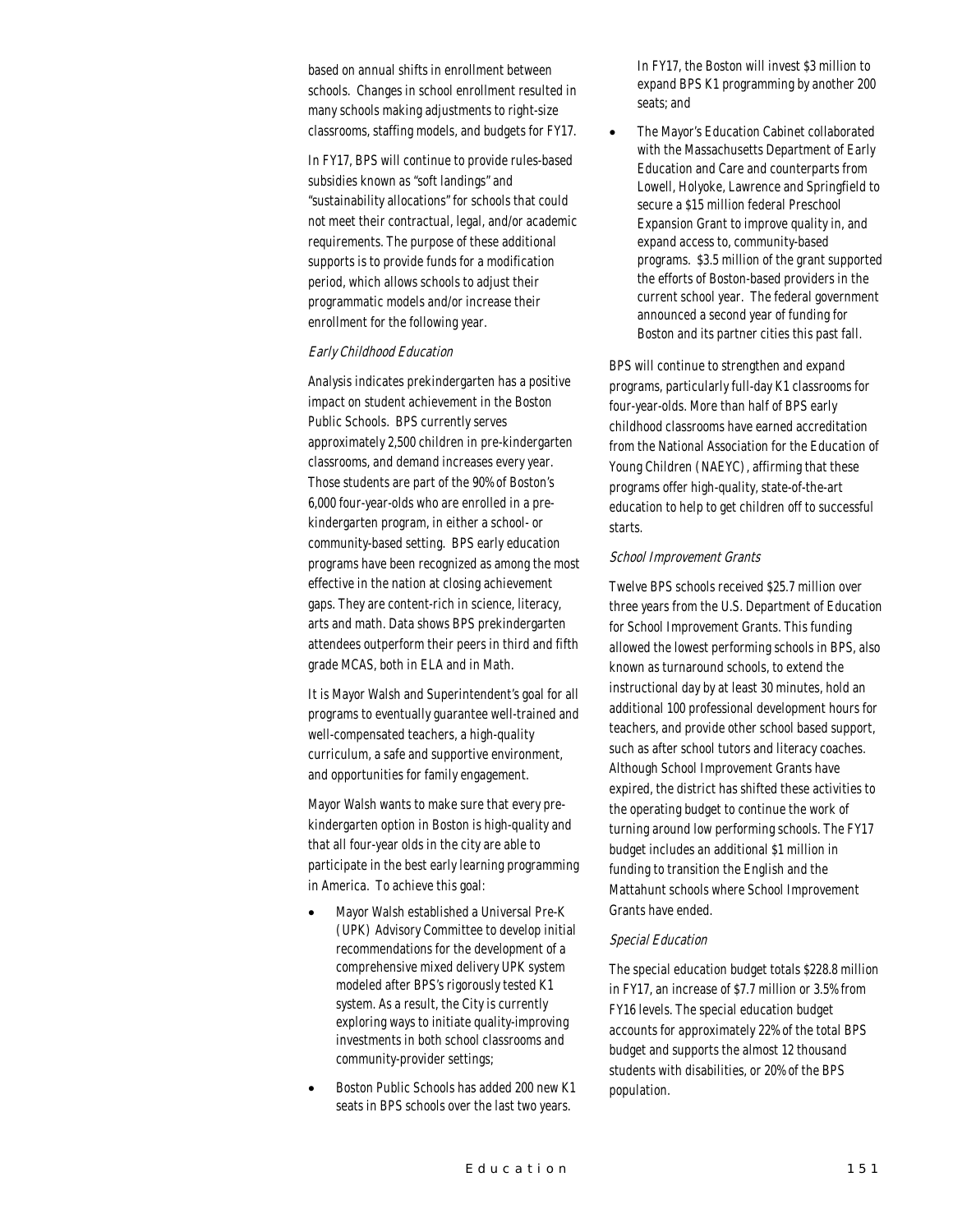based on annual shifts in enrollment between schools. Changes in school enrollment resulted in many schools making adjustments to right-size classrooms, staffing models, and budgets for FY17.

In FY17, BPS will continue to provide rules-based subsidies known as "soft landings" and "sustainability allocations" for schools that could not meet their contractual, legal, and/or academic requirements. The purpose of these additional supports is to provide funds for a modification period, which allows schools to adjust their programmatic models and/or increase their enrollment for the following year.

#### Early Childhood Education

Analysis indicates prekindergarten has a positive impact on student achievement in the Boston Public Schools. BPS currently serves approximately 2,500 children in pre-kindergarten classrooms, and demand increases every year. Those students are part of the 90% of Boston's 6,000 four-year-olds who are enrolled in a prekindergarten program, in either a school- or community-based setting. BPS early education programs have been recognized as among the most effective in the nation at closing achievement gaps. They are content-rich in science, literacy, arts and math. Data shows BPS prekindergarten attendees outperform their peers in third and fifth grade MCAS, both in ELA and in Math.

It is Mayor Walsh and Superintendent's goal for all programs to eventually guarantee well-trained and well-compensated teachers, a high-quality curriculum, a safe and supportive environment, and opportunities for family engagement.

Mayor Walsh wants to make sure that every prekindergarten option in Boston is high-quality and that all four-year olds in the city are able to participate in the best early learning programming in America. To achieve this goal:

- Mayor Walsh established a Universal Pre-K (UPK) Advisory Committee to develop initial recommendations for the development of a comprehensive mixed delivery UPK system modeled after BPS's rigorously tested K1 system. As a result, the City is currently exploring ways to initiate quality-improving investments in both school classrooms and community-provider settings;
- Boston Public Schools has added 200 new K1 seats in BPS schools over the last two years.

In FY17, the Boston will invest \$3 million to expand BPS K1 programming by another 200 seats; and

• The Mayor's Education Cabinet collaborated with the Massachusetts Department of Early Education and Care and counterparts from Lowell, Holyoke, Lawrence and Springfield to secure a \$15 million federal Preschool Expansion Grant to improve quality in, and expand access to, community-based programs. \$3.5 million of the grant supported the efforts of Boston-based providers in the current school year. The federal government announced a second year of funding for Boston and its partner cities this past fall.

BPS will continue to strengthen and expand programs, particularly full-day K1 classrooms for four-year-olds. More than half of BPS early childhood classrooms have earned accreditation from the National Association for the Education of Young Children (NAEYC), affirming that these programs offer high-quality, state-of-the-art education to help to get children off to successful starts.

#### School Improvement Grants

Twelve BPS schools received \$25.7 million over three years from the U.S. Department of Education for School Improvement Grants. This funding allowed the lowest performing schools in BPS, also known as turnaround schools, to extend the instructional day by at least 30 minutes, hold an additional 100 professional development hours for teachers, and provide other school based support, such as after school tutors and literacy coaches. Although School Improvement Grants have expired, the district has shifted these activities to the operating budget to continue the work of turning around low performing schools. The FY17 budget includes an additional \$1 million in funding to transition the English and the Mattahunt schools where School Improvement Grants have ended.

#### Special Education

The special education budget totals \$228.8 million in FY17, an increase of \$7.7 million or 3.5% from FY16 levels. The special education budget accounts for approximately 22% of the total BPS budget and supports the almost 12 thousand students with disabilities, or 20% of the BPS population.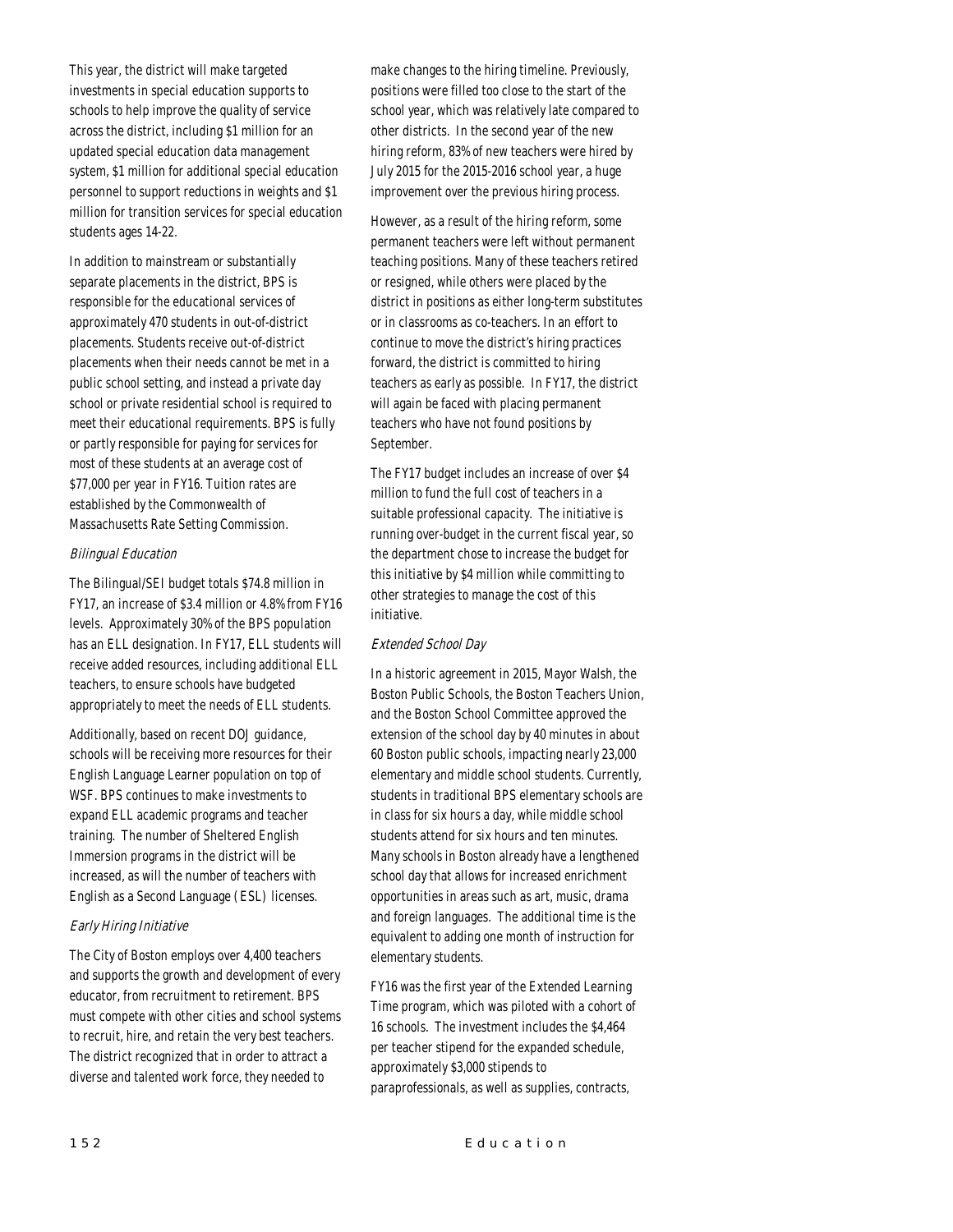This year, the district will make targeted investments in special education supports to schools to help improve the quality of service across the district, including \$1 million for an updated special education data management system, \$1 million for additional special education personnel to support reductions in weights and \$1 million for transition services for special education students ages 14-22.

In addition to mainstream or substantially separate placements in the district, BPS is responsible for the educational services of approximately 470 students in out-of-district placements. Students receive out-of-district placements when their needs cannot be met in a public school setting, and instead a private day school or private residential school is required to meet their educational requirements. BPS is fully or partly responsible for paying for services for most of these students at an average cost of \$77,000 per year in FY16. Tuition rates are established by the Commonwealth of Massachusetts Rate Setting Commission.

#### Bilingual Education

The Bilingual/SEI budget totals \$74.8 million in FY17, an increase of \$3.4 million or 4.8% from FY16 levels. Approximately 30% of the BPS population has an ELL designation. In FY17, ELL students will receive added resources, including additional ELL teachers, to ensure schools have budgeted appropriately to meet the needs of ELL students.

Additionally, based on recent DOJ guidance, schools will be receiving more resources for their English Language Learner population on top of WSF. BPS continues to make investments to expand ELL academic programs and teacher training. The number of Sheltered English Immersion programs in the district will be increased, as will the number of teachers with English as a Second Language (ESL) licenses.

# Early Hiring Initiative

The City of Boston employs over 4,400 teachers and supports the growth and development of every educator, from recruitment to retirement. BPS must compete with other cities and school systems to recruit, hire, and retain the very best teachers. The district recognized that in order to attract a diverse and talented work force, they needed to

make changes to the hiring timeline. Previously, positions were filled too close to the start of the school year, which was relatively late compared to other districts. In the second year of the new hiring reform, 83% of new teachers were hired by July 2015 for the 2015-2016 school year, a huge improvement over the previous hiring process.

However, as a result of the hiring reform, some permanent teachers were left without permanent teaching positions. Many of these teachers retired or resigned, while others were placed by the district in positions as either long-term substitutes or in classrooms as co-teachers. In an effort to continue to move the district's hiring practices forward, the district is committed to hiring teachers as early as possible. In FY17, the district will again be faced with placing permanent teachers who have not found positions by September.

The FY17 budget includes an increase of over \$4 million to fund the full cost of teachers in a suitable professional capacity. The initiative is running over-budget in the current fiscal year, so the department chose to increase the budget for this initiative by \$4 million while committing to other strategies to manage the cost of this initiative.

# Extended School Day

In a historic agreement in 2015, Mayor Walsh, the Boston Public Schools, the Boston Teachers Union, and the Boston School Committee approved the extension of the school day by 40 minutes in about 60 Boston public schools, impacting nearly 23,000 elementary and middle school students. Currently, students in traditional BPS elementary schools are in class for six hours a day, while middle school students attend for six hours and ten minutes. Many schools in Boston already have a lengthened school day that allows for increased enrichment opportunities in areas such as art, music, drama and foreign languages. The additional time is the equivalent to adding one month of instruction for elementary students.

FY16 was the first year of the Extended Learning Time program, which was piloted with a cohort of 16 schools. The investment includes the \$4,464 per teacher stipend for the expanded schedule, approximately \$3,000 stipends to paraprofessionals, as well as supplies, contracts,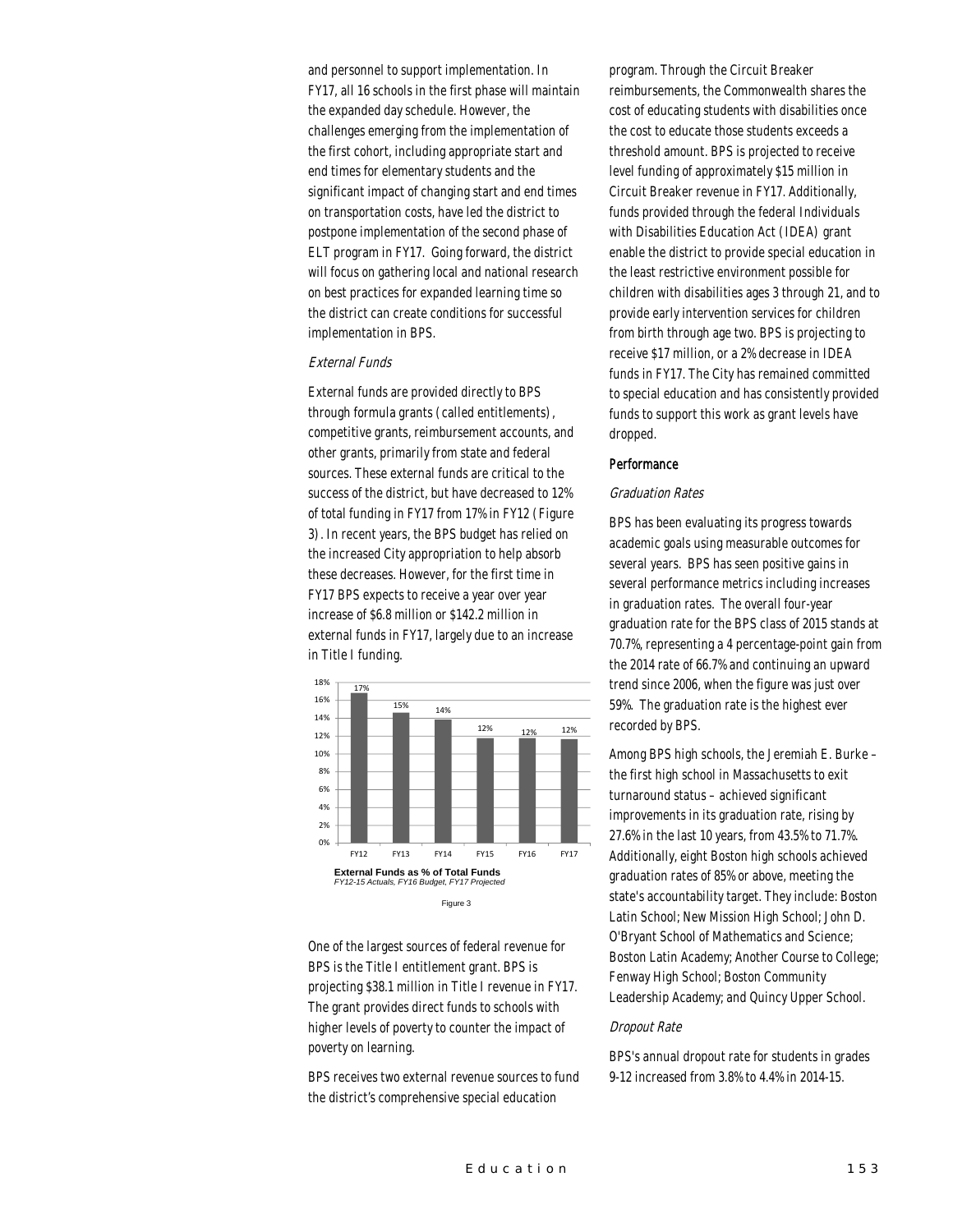and personnel to support implementation. In FY17, all 16 schools in the first phase will maintain the expanded day schedule. However, the challenges emerging from the implementation of the first cohort, including appropriate start and end times for elementary students and the significant impact of changing start and end times on transportation costs, have led the district to postpone implementation of the second phase of ELT program in FY17. Going forward, the district will focus on gathering local and national research on best practices for expanded learning time so the district can create conditions for successful implementation in BPS.

## External Funds

External funds are provided directly to BPS through formula grants (called entitlements), competitive grants, reimbursement accounts, and other grants, primarily from state and federal sources. These external funds are critical to the success of the district, but have decreased to 12% of total funding in FY17 from 17% in FY12 (Figure 3). In recent years, the BPS budget has relied on the increased City appropriation to help absorb these decreases. However, for the first time in FY17 BPS expects to receive a year over year increase of \$6.8 million or \$142.2 million in external funds in FY17, largely due to an increase in Title I funding.



One of the largest sources of federal revenue for BPS is the Title I entitlement grant. BPS is projecting \$38.1 million in Title I revenue in FY17. The grant provides direct funds to schools with higher levels of poverty to counter the impact of poverty on learning.

BPS receives two external revenue sources to fund the district's comprehensive special education

program. Through the Circuit Breaker reimbursements, the Commonwealth shares the cost of educating students with disabilities once the cost to educate those students exceeds a threshold amount. BPS is projected to receive level funding of approximately \$15 million in Circuit Breaker revenue in FY17. Additionally, funds provided through the federal Individuals with Disabilities Education Act (IDEA) grant enable the district to provide special education in the least restrictive environment possible for children with disabilities ages 3 through 21, and to provide early intervention services for children from birth through age two. BPS is projecting to receive \$17 million, or a 2% decrease in IDEA funds in FY17. The City has remained committed to special education and has consistently provided funds to support this work as grant levels have dropped.

#### **Performance**

#### Graduation Rates

BPS has been evaluating its progress towards academic goals using measurable outcomes for several years. BPS has seen positive gains in several performance metrics including increases in graduation rates. The overall four-year graduation rate for the BPS class of 2015 stands at 70.7%, representing a 4 percentage-point gain from the 2014 rate of 66.7% and continuing an upward trend since 2006, when the figure was just over 59%. The graduation rate is the highest ever recorded by BPS.

Among BPS high schools, the Jeremiah E. Burke – the first high school in Massachusetts to exit turnaround status – achieved significant improvements in its graduation rate, rising by 27.6% in the last 10 years, from 43.5% to 71.7%. Additionally, eight Boston high schools achieved graduation rates of 85% or above, meeting the state's accountability target. They include: Boston Latin School; New Mission High School; John D. O'Bryant School of Mathematics and Science; Boston Latin Academy; Another Course to College; Fenway High School; Boston Community Leadership Academy; and Quincy Upper School.

## Dropout Rate

BPS's annual dropout rate for students in grades 9-12 increased from 3.8% to 4.4% in 2014-15.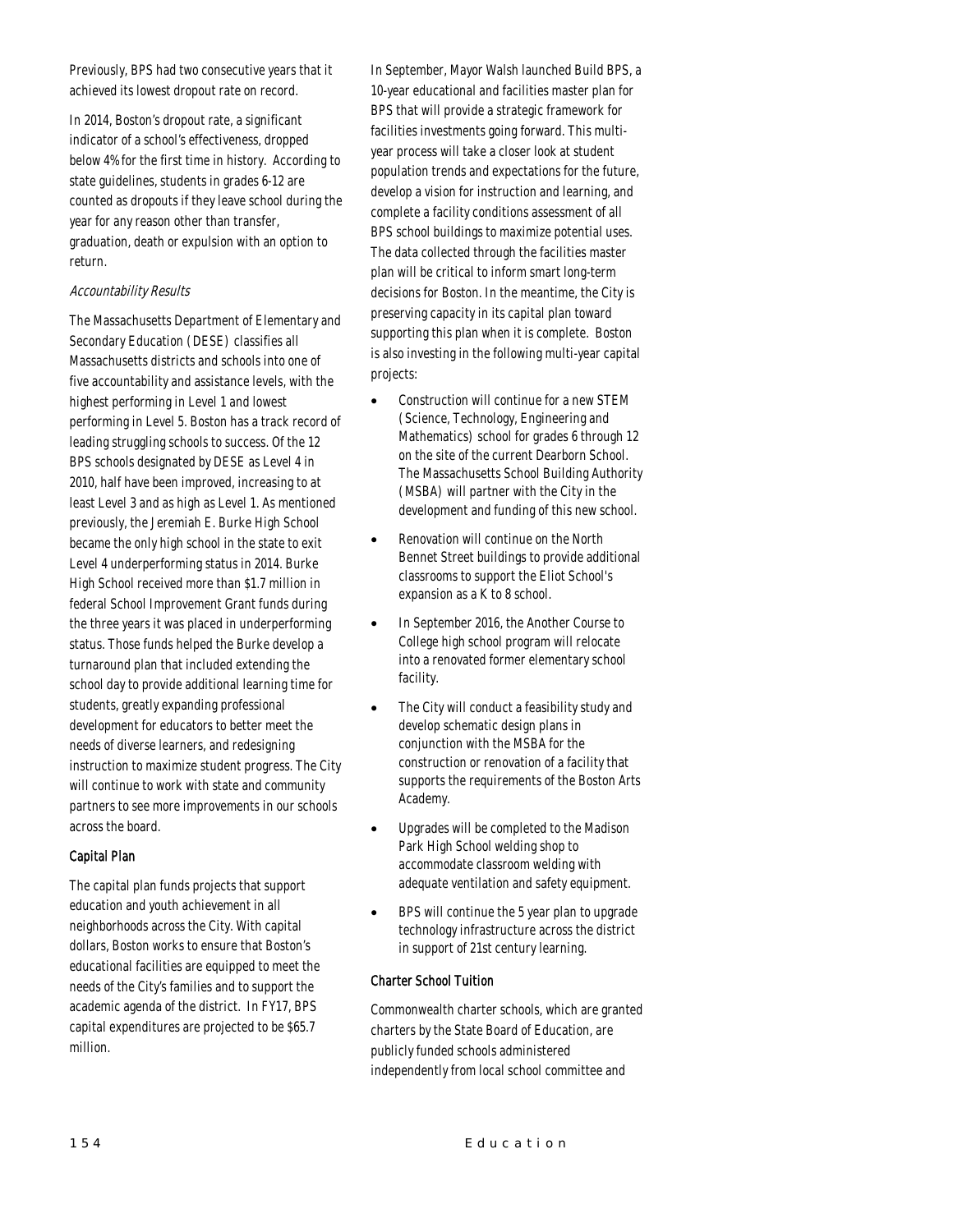Previously, BPS had two consecutive years that it achieved its lowest dropout rate on record.

In 2014, Boston's dropout rate, a significant indicator of a school's effectiveness, dropped below 4% for the first time in history. According to state guidelines, students in grades 6-12 are counted as dropouts if they leave school during the year for any reason other than transfer, graduation, death or expulsion with an option to return.

## Accountability Results

The Massachusetts Department of Elementary and Secondary Education (DESE) classifies all Massachusetts districts and schools into one of five accountability and assistance levels, with the highest performing in Level 1 and lowest performing in Level 5. Boston has a track record of leading struggling schools to success. Of the 12 BPS schools designated by DESE as Level 4 in 2010, half have been improved, increasing to at least Level 3 and as high as Level 1. As mentioned previously, the Jeremiah E. Burke High School became the only high school in the state to exit Level 4 underperforming status in 2014. Burke High School received more than \$1.7 million in federal School Improvement Grant funds during the three years it was placed in underperforming status. Those funds helped the Burke develop a turnaround plan that included extending the school day to provide additional learning time for students, greatly expanding professional development for educators to better meet the needs of diverse learners, and redesigning instruction to maximize student progress. The City will continue to work with state and community partners to see more improvements in our schools across the board.

# Capital Plan

The capital plan funds projects that support education and youth achievement in all neighborhoods across the City. With capital dollars, Boston works to ensure that Boston's educational facilities are equipped to meet the needs of the City's families and to support the academic agenda of the district. In FY17, BPS capital expenditures are projected to be \$65.7 million.

In September, Mayor Walsh launched Build BPS, a 10-year educational and facilities master plan for BPS that will provide a strategic framework for facilities investments going forward. This multiyear process will take a closer look at student population trends and expectations for the future, develop a vision for instruction and learning, and complete a facility conditions assessment of all BPS school buildings to maximize potential uses. The data collected through the facilities master plan will be critical to inform smart long-term decisions for Boston. In the meantime, the City is preserving capacity in its capital plan toward supporting this plan when it is complete. Boston is also investing in the following multi-year capital projects:

- Construction will continue for a new STEM (Science, Technology, Engineering and Mathematics) school for grades 6 through 12 on the site of the current Dearborn School. The Massachusetts School Building Authority (MSBA) will partner with the City in the development and funding of this new school.
- Renovation will continue on the North Bennet Street buildings to provide additional classrooms to support the Eliot School's expansion as a K to 8 school.
- In September 2016, the Another Course to College high school program will relocate into a renovated former elementary school facility.
- The City will conduct a feasibility study and develop schematic design plans in conjunction with the MSBA for the construction or renovation of a facility that supports the requirements of the Boston Arts Academy.
- Upgrades will be completed to the Madison Park High School welding shop to accommodate classroom welding with adequate ventilation and safety equipment.
- BPS will continue the 5 year plan to upgrade technology infrastructure across the district in support of 21st century learning.

#### Charter School Tuition

Commonwealth charter schools, which are granted charters by the State Board of Education, are publicly funded schools administered independently from local school committee and